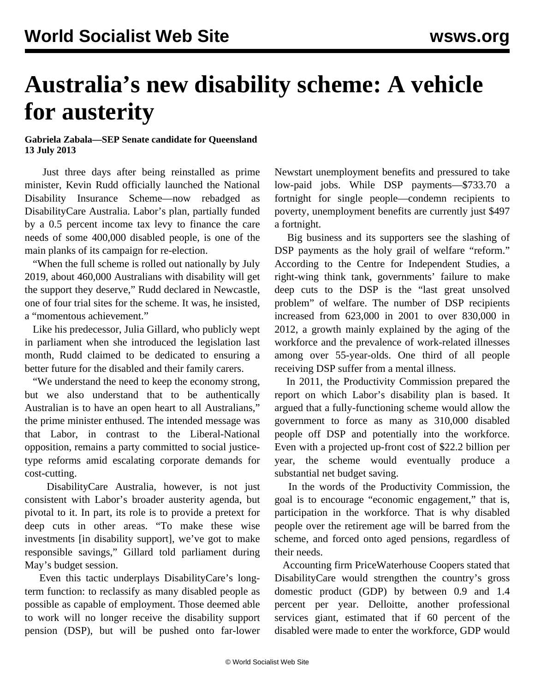## **Australia's new disability scheme: A vehicle for austerity**

## **Gabriela Zabala—SEP Senate candidate for Queensland 13 July 2013**

 Just three days after being reinstalled as prime minister, Kevin Rudd officially launched the National Disability Insurance Scheme—now rebadged as DisabilityCare Australia. Labor's plan, partially funded by a 0.5 percent income tax levy to finance the care needs of some 400,000 disabled people, is one of the main planks of its campaign for re-election.

 "When the full scheme is rolled out nationally by July 2019, about 460,000 Australians with disability will get the support they deserve," Rudd declared in Newcastle, one of four trial sites for the scheme. It was, he insisted, a "momentous achievement."

 Like his predecessor, Julia Gillard, who publicly wept in parliament when she introduced the legislation last month, Rudd claimed to be dedicated to ensuring a better future for the disabled and their family carers.

 "We understand the need to keep the economy strong, but we also understand that to be authentically Australian is to have an open heart to all Australians," the prime minister enthused. The intended message was that Labor, in contrast to the Liberal-National opposition, remains a party committed to social justicetype reforms amid escalating corporate demands for cost-cutting.

 DisabilityCare Australia, however, is not just consistent with Labor's broader austerity agenda, but pivotal to it. In part, its role is to provide a pretext for deep cuts in other areas. "To make these wise investments [in disability support], we've got to make responsible savings," Gillard told parliament during May's budget session.

 Even this tactic underplays DisabilityCare's longterm function: to reclassify as many disabled people as possible as capable of employment. Those deemed able to work will no longer receive the disability support pension (DSP), but will be pushed onto far-lower Newstart unemployment benefits and pressured to take low-paid jobs. While DSP payments—\$733.70 a fortnight for single people—condemn recipients to poverty, unemployment benefits are currently just \$497 a fortnight.

 Big business and its supporters see the slashing of DSP payments as the holy grail of welfare "reform." According to the Centre for Independent Studies, a right-wing think tank, governments' failure to make deep cuts to the DSP is the "last great unsolved problem" of welfare. The number of DSP recipients increased from 623,000 in 2001 to over 830,000 in 2012, a growth mainly explained by the aging of the workforce and the prevalence of work-related illnesses among over 55-year-olds. One third of all people receiving DSP suffer from a mental illness.

 In 2011, the Productivity Commission prepared the report on which Labor's disability plan is based. It argued that a fully-functioning scheme would allow the government to force as many as 310,000 disabled people off DSP and potentially into the workforce. Even with a projected up-front cost of \$22.2 billion per year, the scheme would eventually produce a substantial net budget saving.

 In the words of the Productivity Commission, the goal is to encourage "economic engagement," that is, participation in the workforce. That is why disabled people over the retirement age will be barred from the scheme, and forced onto aged pensions, regardless of their needs.

 Accounting firm PriceWaterhouse Coopers stated that DisabilityCare would strengthen the country's gross domestic product (GDP) by between 0.9 and 1.4 percent per year. Delloitte, another professional services giant, estimated that if 60 percent of the disabled were made to enter the workforce, GDP would